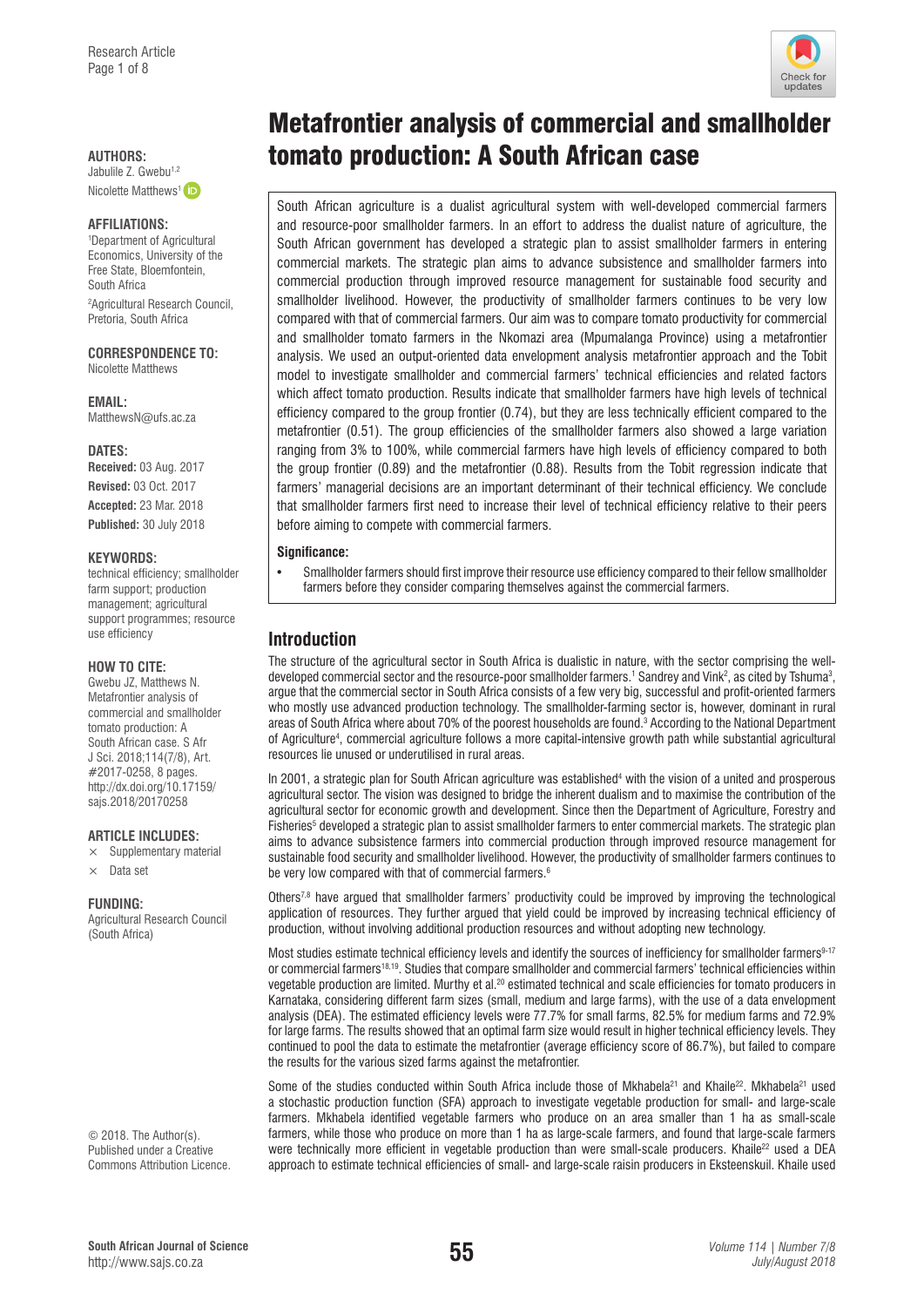Nicolette Matthews<sup>1</sup> (iD)

#### **AFFILIATIONS:**

1 Department of Agricultural Economics, University of the Free State, Bloemfontein, South Africa 2 Agricultural Research Council, Pretoria, South Africa

**CORRESPONDENCE TO:**  Nicolette Matthews

**EMAIL:**  [MatthewsN@ufs.ac.za](mailto:MatthewsN@ufs.ac.za)

#### **DATES:**

**Received:** 03 Aug. 2017 **Revised:** 03 Oct. 2017 **Accepted:** 23 Mar. 2018 **Published:** 30 July 2018

#### **KEYWORDS:**

technical efficiency; smallholder farm support; production management; agricultural support programmes; resource use efficiency

#### **HOW TO CITE:**

Gwebu JZ, Matthews N. Metafrontier analysis of commercial and smallholder tomato production: A South African case. S Afr J Sci. 2018;114(7/8), Art. #2017-0258, 8 pages. [http://dx.doi.org/10.17159/](http://dx.doi.org/10.17159/sajs.2018/20170258) [sajs.2018/20170258](http://dx.doi.org/10.17159/sajs.2018/20170258)

#### **ARTICLE INCLUDES:**

- $\times$  Supplementary material
- $\times$  Data set

#### **FUNDING:**

Agricultural Research Council (South Africa)

© 2018. The Author(s). Published under a [Creative](https://creativecommons.org/licenses/by/4.0/)  [Commons Attribution Licence.](https://creativecommons.org/licenses/by/4.0/)

# Metafrontier analysis of commercial and smallholder AUTHORS:<br>Jabulile Z. Gwebu<sup>1,2</sup><br>**diplomato production: A South African case**

South African agriculture is a dualist agricultural system with well-developed commercial farmers and resource-poor smallholder farmers. In an effort to address the dualist nature of agriculture, the South African government has developed a strategic plan to assist smallholder farmers in entering commercial markets. The strategic plan aims to advance subsistence and smallholder farmers into commercial production through improved resource management for sustainable food security and smallholder livelihood. However, the productivity of smallholder farmers continues to be very low compared with that of commercial farmers. Our aim was to compare tomato productivity for commercial and smallholder tomato farmers in the Nkomazi area (Mpumalanga Province) using a metafrontier analysis. We used an output-oriented data envelopment analysis metafrontier approach and the Tobit model to investigate smallholder and commercial farmers' technical efficiencies and related factors which affect tomato production. Results indicate that smallholder farmers have high levels of technical efficiency compared to the group frontier (0.74), but they are less technically efficient compared to the metafrontier (0.51). The group efficiencies of the smallholder farmers also showed a large variation ranging from 3% to 100%, while commercial farmers have high levels of efficiency compared to both the group frontier (0.89) and the metafrontier (0.88). Results from the Tobit regression indicate that farmers' managerial decisions are an important determinant of their technical efficiency. We conclude that smallholder farmers first need to increase their level of technical efficiency relative to their peers before aiming to compete with commercial farmers.

#### **Significance:**

• Smallholder farmers should first improve their resource use efficiency compared to their fellow smallholder farmers before they consider comparing themselves against the commercial farmers.

# **Introduction**

The structure of the agricultural sector in South Africa is dualistic in nature, with the sector comprising the welldeveloped commercial sector and the resource-poor smallholder farmers.<sup>1</sup> Sandrey and Vink<sup>2</sup>, as cited by Tshuma<sup>3</sup>, argue that the commercial sector in South Africa consists of a few very big, successful and profit-oriented farmers who mostly use advanced production technology. The smallholder-farming sector is, however, dominant in rural areas of South Africa where about 70% of the poorest households are found.3 According to the National Department of Agriculture4 , commercial agriculture follows a more capital-intensive growth path while substantial agricultural resources lie unused or underutilised in rural areas.

In 2001, a strategic plan for South African agriculture was established<sup>4</sup> with the vision of a united and prosperous agricultural sector. The vision was designed to bridge the inherent dualism and to maximise the contribution of the agricultural sector for economic growth and development. Since then the Department of Agriculture, Forestry and Fisheries<sup>5</sup> developed a strategic plan to assist smallholder farmers to enter commercial markets. The strategic plan aims to advance subsistence farmers into commercial production through improved resource management for sustainable food security and smallholder livelihood. However, the productivity of smallholder farmers continues to be very low compared with that of commercial farmers.<sup>6</sup>

Others7,8 have argued that smallholder farmers' productivity could be improved by improving the technological application of resources. They further argued that yield could be improved by increasing technical efficiency of production, without involving additional production resources and without adopting new technology.

Most studies estimate technical efficiency levels and identify the sources of inefficiency for smallholder farmers<sup>9-17</sup> or commercial farmers<sup>18,19</sup>. Studies that compare smallholder and commercial farmers' technical efficiencies within vegetable production are limited. Murthy et al.20 estimated technical and scale efficiencies for tomato producers in Karnataka, considering different farm sizes (small, medium and large farms), with the use of a data envelopment analysis (DEA). The estimated efficiency levels were 77.7% for small farms, 82.5% for medium farms and 72.9% for large farms. The results showed that an optimal farm size would result in higher technical efficiency levels. They continued to pool the data to estimate the metafrontier (average efficiency score of 86.7%), but failed to compare the results for the various sized farms against the metafrontier.

Some of the studies conducted within South Africa include those of Mkhabela<sup>21</sup> and Khaile<sup>22</sup>. Mkhabela<sup>21</sup> used a stochastic production function (SFA) approach to investigate vegetable production for small- and large-scale farmers. Mkhabela identified vegetable farmers who produce on an area smaller than 1 ha as small-scale farmers, while those who produce on more than 1 ha as large-scale farmers, and found that large-scale farmers were technically more efficient in vegetable production than were small-scale producers. Khaile<sup>22</sup> used a DEA approach to estimate technical efficiencies of small- and large-scale raisin producers in Eksteenskuil. Khaile used

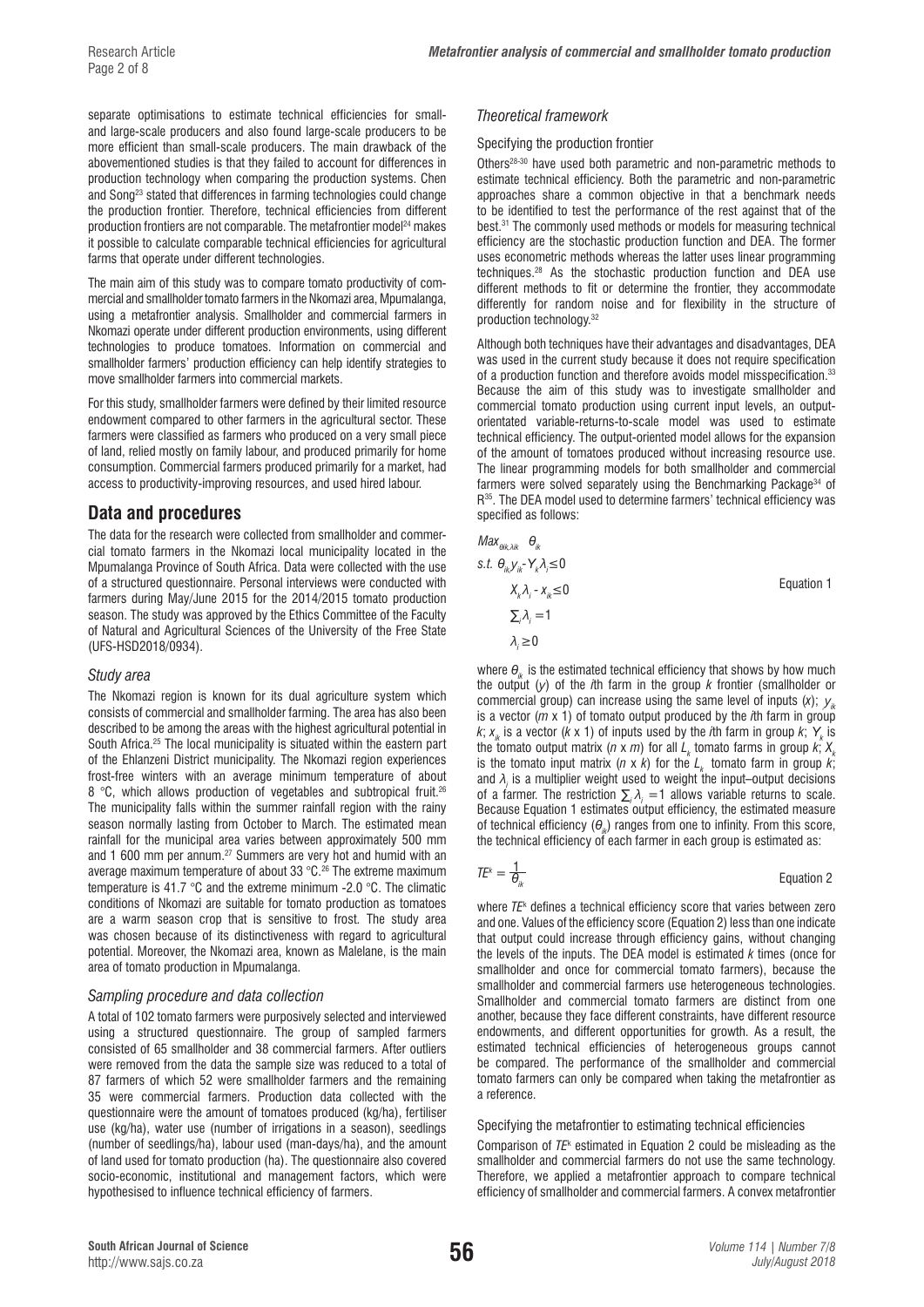separate optimisations to estimate technical efficiencies for smalland large-scale producers and also found large-scale producers to be more efficient than small-scale producers. The main drawback of the abovementioned studies is that they failed to account for differences in production technology when comparing the production systems. Chen and Song23 stated that differences in farming technologies could change the production frontier. Therefore, technical efficiencies from different production frontiers are not comparable. The metafrontier model<sup>24</sup> makes it possible to calculate comparable technical efficiencies for agricultural farms that operate under different technologies.

The main aim of this study was to compare tomato productivity of commercial and smallholder tomato farmers in the Nkomazi area, Mpumalanga, using a metafrontier analysis. Smallholder and commercial farmers in Nkomazi operate under different production environments, using different technologies to produce tomatoes. Information on commercial and smallholder farmers' production efficiency can help identify strategies to move smallholder farmers into commercial markets.

For this study, smallholder farmers were defined by their limited resource endowment compared to other farmers in the agricultural sector. These farmers were classified as farmers who produced on a very small piece of land, relied mostly on family labour, and produced primarily for home consumption. Commercial farmers produced primarily for a market, had access to productivity-improving resources, and used hired labour.

# **Data and procedures**

The data for the research were collected from smallholder and commercial tomato farmers in the Nkomazi local municipality located in the Mpumalanga Province of South Africa. Data were collected with the use of a structured questionnaire. Personal interviews were conducted with farmers during May/June 2015 for the 2014/2015 tomato production season. The study was approved by the Ethics Committee of the Faculty of Natural and Agricultural Sciences of the University of the Free State (UFS-HSD2018/0934).

#### *Study area*

The Nkomazi region is known for its dual agriculture system which consists of commercial and smallholder farming. The area has also been described to be among the areas with the highest agricultural potential in South Africa.25 The local municipality is situated within the eastern part of the Ehlanzeni District municipality. The Nkomazi region experiences frost-free winters with an average minimum temperature of about 8 °C, which allows production of vegetables and subtropical fruit.<sup>26</sup> The municipality falls within the summer rainfall region with the rainy season normally lasting from October to March. The estimated mean rainfall for the municipal area varies between approximately 500 mm and 1 600 mm per annum.27 Summers are very hot and humid with an average maximum temperature of about 33 °C.<sup>26</sup> The extreme maximum temperature is 41.7 °C and the extreme minimum -2.0 °C. The climatic conditions of Nkomazi are suitable for tomato production as tomatoes are a warm season crop that is sensitive to frost. The study area was chosen because of its distinctiveness with regard to agricultural potential. Moreover, the Nkomazi area, known as Malelane, is the main area of tomato production in Mpumalanga.

#### *Sampling procedure and data collection*

A total of 102 tomato farmers were purposively selected and interviewed using a structured questionnaire. The group of sampled farmers consisted of 65 smallholder and 38 commercial farmers. After outliers were removed from the data the sample size was reduced to a total of 87 farmers of which 52 were smallholder farmers and the remaining 35 were commercial farmers. Production data collected with the questionnaire were the amount of tomatoes produced (kg/ha), fertiliser use (kg/ha), water use (number of irrigations in a season), seedlings (number of seedlings/ha), labour used (man-days/ha), and the amount of land used for tomato production (ha). The questionnaire also covered socio-economic, institutional and management factors, which were hypothesised to influence technical efficiency of farmers.

#### *Theoretical framework*

#### Specifying the production frontier

Others28-30 have used both parametric and non-parametric methods to estimate technical efficiency. Both the parametric and non-parametric approaches share a common objective in that a benchmark needs to be identified to test the performance of the rest against that of the best.31 The commonly used methods or models for measuring technical efficiency are the stochastic production function and DEA. The former uses econometric methods whereas the latter uses linear programming techniques.28 As the stochastic production function and DEA use different methods to fit or determine the frontier, they accommodate differently for random noise and for flexibility in the structure of production technology.32

Although both techniques have their advantages and disadvantages, DEA was used in the current study because it does not require specification of a production function and therefore avoids model misspecification.33 Because the aim of this study was to investigate smallholder and commercial tomato production using current input levels, an outputorientated variable-returns-to-scale model was used to estimate technical efficiency. The output-oriented model allows for the expansion of the amount of tomatoes produced without increasing resource use. The linear programming models for both smallholder and commercial farmers were solved separately using the Benchmarking Package<sup>34</sup> of R<sup>35</sup>. The DEA model used to determine farmers' technical efficiency was specified as follows:

| $Max_{\theta_{ik,\lambda_{ik}}}$ $\theta_{ik}$   |            |
|--------------------------------------------------|------------|
| s.t. $\theta_{ik} y_{ik} - Y_k \lambda_j \leq 0$ |            |
| $X_{k} \lambda_{i} - X_{ik} \leq 0$              | Equation 1 |
| $\sum_i \lambda_i = 1$                           |            |
| $\lambda_i \geq 0$                               |            |
|                                                  |            |

where  $\theta_{ik}$  is the estimated technical efficiency that shows by how much the output  $(y)$  of the *i*th farm in the group *k* frontier (smallholder or commercial group) can increase using the same level of inputs  $(x)$ ;  $y_{ik}$ is a vector (*m* x 1) of tomato output produced by the *i*th farm in group *k*;  $x_{ik}$  is a vector (*k* x 1) of inputs used by the *i*th farm in group *k*;  $Y_{k}$  is the tomato output matrix (*n* x *m*) for all  $L_k$  tomato farms in group *k*;  $X_k$ is the tomato input matrix ( $n \times k$ ) for the  $L_k$  tomato farm in group  $k$ ; and  $\lambda_i$  is a multiplier weight used to weight the input–output decisions of a farmer. The restriction  $\sum_i \lambda_i = 1$  allows variable returns to scale. Because Equation 1 estimates output efficiency, the estimated measure of technical efficiency (*θik*) ranges from one to infinity. From this score, the technical efficiency of each farmer in each group is estimated as:

#### $TE^k = \frac{1}{\beta}$ *<u>Equation 2</u>*

where *TE*<sup>k</sup> defines a technical efficiency score that varies between zero and one. Values of the efficiency score (Equation 2) less than one indicate that output could increase through efficiency gains, without changing the levels of the inputs. The DEA model is estimated *k* times (once for smallholder and once for commercial tomato farmers), because the smallholder and commercial farmers use heterogeneous technologies. Smallholder and commercial tomato farmers are distinct from one another, because they face different constraints, have different resource endowments, and different opportunities for growth. As a result, the estimated technical efficiencies of heterogeneous groups cannot be compared. The performance of the smallholder and commercial tomato farmers can only be compared when taking the metafrontier as a reference.

#### Specifying the metafrontier to estimating technical efficiencies

Comparison of *TE*<sup>k</sup> estimated in Equation 2 could be misleading as the smallholder and commercial farmers do not use the same technology. Therefore, we applied a metafrontier approach to compare technical efficiency of smallholder and commercial farmers. A convex metafrontier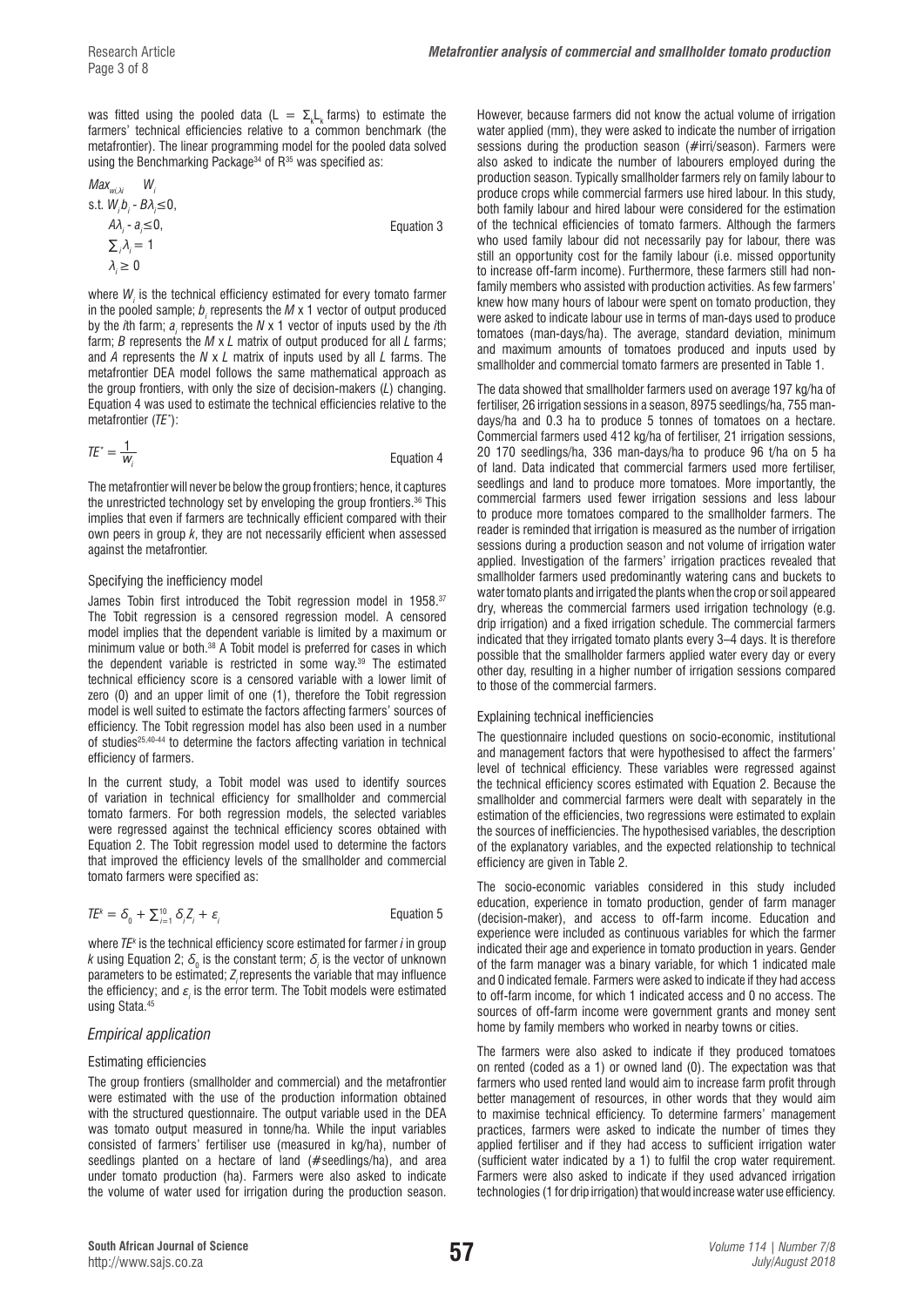was fitted using the pooled data (L  $= \Sigma_{\rm k} L_{\rm k}$  farms) to estimate the farmers' technical efficiencies relative to a common benchmark (the metafrontier). The linear programming model for the pooled data solved using the Benchmarking Package<sup>34</sup> of  $R^{35}$  was specified as:

$$
Max_{w,i,\lambda} W_i
$$
  
s.t.  $W_i b_i - B\lambda_i \le 0$ ,  
 $A\lambda_i - a_i \le 0$ ,  
 $\sum_i \lambda_i = 1$   
 $\lambda_i \ge 0$ 

where  $W_{i}$  is the technical efficiency estimated for every tomato farmer in the pooled sample;  $b_{i}$  represents the  $M$  x 1 vector of output produced by the *i*th farm;  $a_i$  represents the *N* x 1 vector of inputs used by the *i*th farm; *B* represents the *M* x *L* matrix of output produced for all *L* farms; and *A* represents the *N* x *L* matrix of inputs used by all *L* farms. The metafrontier DEA model follows the same mathematical approach as the group frontiers, with only the size of decision-makers (*L*) changing. Equation 4 was used to estimate the technical efficiencies relative to the metafrontier (*TE\** ):

$$
TE^* = \frac{1}{W_i}
$$
 Equation 4

The metafrontier will never be below the group frontiers; hence, it captures the unrestricted technology set by enveloping the group frontiers.<sup>36</sup> This implies that even if farmers are technically efficient compared with their own peers in group *k*, they are not necessarily efficient when assessed against the metafrontier.

### Specifying the inefficiency model

James Tobin first introduced the Tobit regression model in 1958.<sup>37</sup> The Tobit regression is a censored regression model. A censored model implies that the dependent variable is limited by a maximum or minimum value or both.38 A Tobit model is preferred for cases in which the dependent variable is restricted in some way.39 The estimated technical efficiency score is a censored variable with a lower limit of zero (0) and an upper limit of one (1), therefore the Tobit regression model is well suited to estimate the factors affecting farmers' sources of efficiency. The Tobit regression model has also been used in a number of studies<sup>25,40-44</sup> to determine the factors affecting variation in technical efficiency of farmers.

In the current study, a Tobit model was used to identify sources of variation in technical efficiency for smallholder and commercial tomato farmers. For both regression models, the selected variables were regressed against the technical efficiency scores obtained with Equation 2. The Tobit regression model used to determine the factors that improved the efficiency levels of the smallholder and commercial tomato farmers were specified as:

$$
T E^k = \delta_0 + \sum_{i=1}^{10} \delta_i Z_i + \varepsilon_i
$$

Equation 5

where *TEk* is the technical efficiency score estimated for farmer *i* in group *k* using Equation 2;  $\delta_{_0}$  is the constant term;  $\delta_{_i}$  is the vector of unknown parameters to be estimated; Z<sub>,</sub>represents the variable that may influence the efficiency; and  $\varepsilon_{_{l}}$  is the error term. The Tobit models were estimated using Stata.45

# *Empirical application*

#### Estimating efficiencies

The group frontiers (smallholder and commercial) and the metafrontier were estimated with the use of the production information obtained with the structured questionnaire. The output variable used in the DEA was tomato output measured in tonne/ha. While the input variables consisted of farmers' fertiliser use (measured in kg/ha), number of seedlings planted on a hectare of land (#seedlings/ha), and area under tomato production (ha). Farmers were also asked to indicate the volume of water used for irrigation during the production season.

However, because farmers did not know the actual volume of irrigation water applied (mm), they were asked to indicate the number of irrigation sessions during the production season (#irri/season). Farmers were also asked to indicate the number of labourers employed during the production season. Typically smallholder farmers rely on family labour to produce crops while commercial farmers use hired labour. In this study, both family labour and hired labour were considered for the estimation of the technical efficiencies of tomato farmers. Although the farmers who used family labour did not necessarily pay for labour, there was still an opportunity cost for the family labour (i.e. missed opportunity to increase off-farm income). Furthermore, these farmers still had nonfamily members who assisted with production activities. As few farmers' knew how many hours of labour were spent on tomato production, they were asked to indicate labour use in terms of man-days used to produce tomatoes (man-days/ha). The average, standard deviation, minimum and maximum amounts of tomatoes produced and inputs used by smallholder and commercial tomato farmers are presented in Table 1.

The data showed that smallholder farmers used on average 197 kg/ha of fertiliser, 26 irrigation sessions in a season, 8975 seedlings/ha, 755 mandays/ha and 0.3 ha to produce 5 tonnes of tomatoes on a hectare. Commercial farmers used 412 kg/ha of fertiliser, 21 irrigation sessions, 20 170 seedlings/ha, 336 man-days/ha to produce 96 t/ha on 5 ha of land. Data indicated that commercial farmers used more fertiliser, seedlings and land to produce more tomatoes. More importantly, the commercial farmers used fewer irrigation sessions and less labour to produce more tomatoes compared to the smallholder farmers. The reader is reminded that irrigation is measured as the number of irrigation sessions during a production season and not volume of irrigation water applied. Investigation of the farmers' irrigation practices revealed that smallholder farmers used predominantly watering cans and buckets to water tomato plants and irrigated the plants when the crop or soil appeared dry, whereas the commercial farmers used irrigation technology (e.g. drip irrigation) and a fixed irrigation schedule. The commercial farmers indicated that they irrigated tomato plants every 3–4 days. It is therefore possible that the smallholder farmers applied water every day or every other day, resulting in a higher number of irrigation sessions compared to those of the commercial farmers.

### Explaining technical inefficiencies

The questionnaire included questions on socio-economic, institutional and management factors that were hypothesised to affect the farmers' level of technical efficiency. These variables were regressed against the technical efficiency scores estimated with Equation 2. Because the smallholder and commercial farmers were dealt with separately in the estimation of the efficiencies, two regressions were estimated to explain the sources of inefficiencies. The hypothesised variables, the description of the explanatory variables, and the expected relationship to technical efficiency are given in Table 2.

The socio-economic variables considered in this study included education, experience in tomato production, gender of farm manager (decision-maker), and access to off-farm income. Education and experience were included as continuous variables for which the farmer indicated their age and experience in tomato production in years. Gender of the farm manager was a binary variable, for which 1 indicated male and 0 indicated female. Farmers were asked to indicate if they had access to off-farm income, for which 1 indicated access and 0 no access. The sources of off-farm income were government grants and money sent home by family members who worked in nearby towns or cities.

The farmers were also asked to indicate if they produced tomatoes on rented (coded as a 1) or owned land (0). The expectation was that farmers who used rented land would aim to increase farm profit through better management of resources, in other words that they would aim to maximise technical efficiency. To determine farmers' management practices, farmers were asked to indicate the number of times they applied fertiliser and if they had access to sufficient irrigation water (sufficient water indicated by a 1) to fulfil the crop water requirement. Farmers were also asked to indicate if they used advanced irrigation technologies (1 for drip irrigation) that would increase water use efficiency.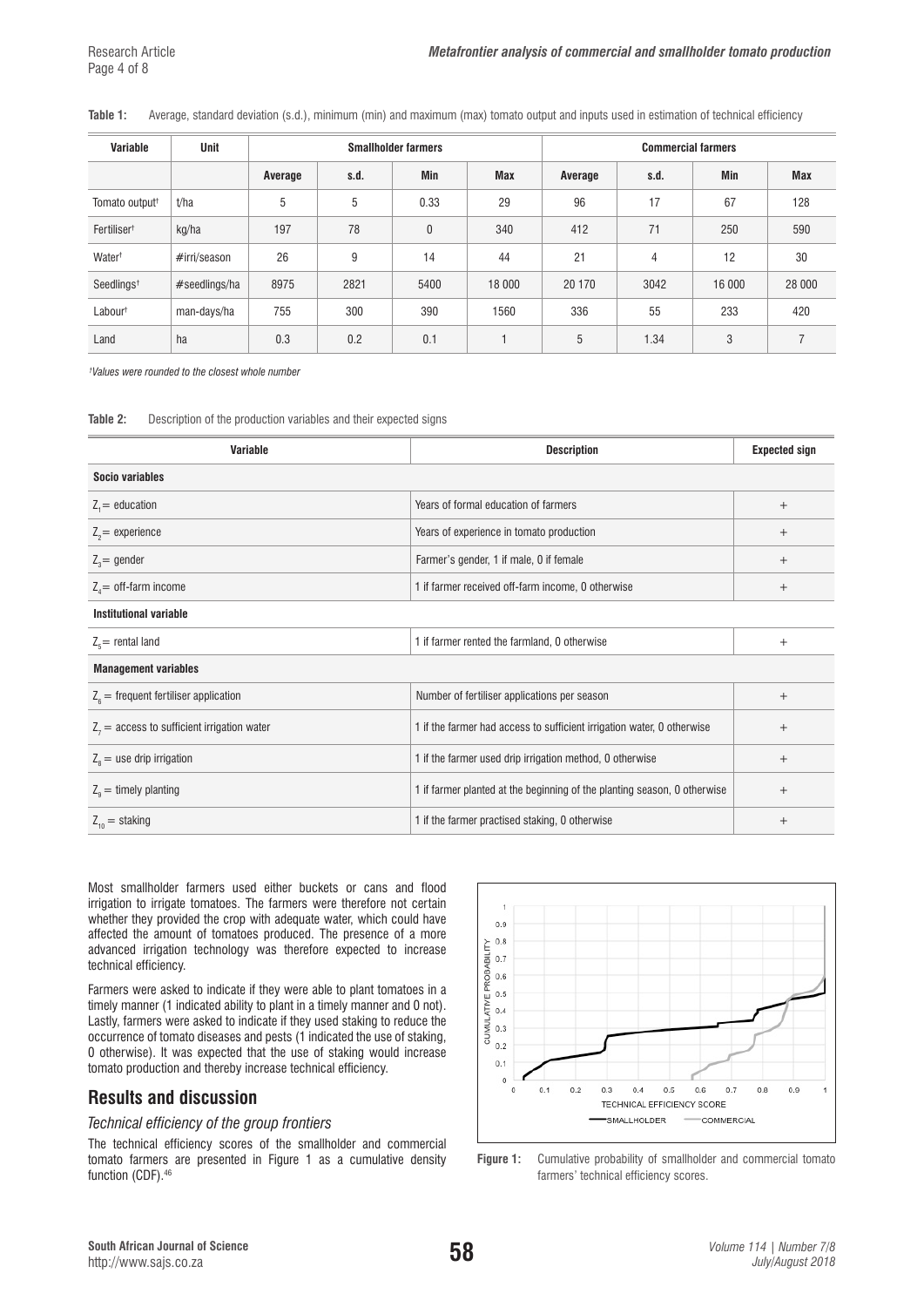#### **Table 1:** Average, standard deviation (s.d.), minimum (min) and maximum (max) tomato output and inputs used in estimation of technical efficiency

| <b>Variable</b>            | Unit          | <b>Smallholder farmers</b> |      |      | <b>Commercial farmers</b> |         |      |            |        |
|----------------------------|---------------|----------------------------|------|------|---------------------------|---------|------|------------|--------|
|                            |               | Average                    | s.d. | Min  | <b>Max</b>                | Average | s.d. | <b>Min</b> | Max    |
| Tomato output <sup>+</sup> | t/ha          | 5                          | 5    | 0.33 | 29                        | 96      | 17   | 67         | 128    |
| Fertiliser <sup>+</sup>    | kg/ha         | 197                        | 78   | 0    | 340                       | 412     | 71   | 250        | 590    |
| Water <sup>+</sup>         | #irri/season  | 26                         | 9    | 14   | 44                        | 21      | 4    | 12         | 30     |
| Seedlings <sup>+</sup>     | #seedlings/ha | 8975                       | 2821 | 5400 | 18 000                    | 20 170  | 3042 | 16 000     | 28 000 |
| Labour <sup>+</sup>        | man-days/ha   | 755                        | 300  | 390  | 1560                      | 336     | 55   | 233        | 420    |
| Land                       | ha            | 0.3                        | 0.2  | 0.1  |                           | 5       | 1.34 | 3          | 7      |

*† Values were rounded to the closest whole number*

#### **Table 2:** Description of the production variables and their expected signs

| Variable                                      | <b>Description</b>                                                       | <b>Expected sign</b> |
|-----------------------------------------------|--------------------------------------------------------------------------|----------------------|
| Socio variables                               |                                                                          |                      |
| $Z_i$ = education                             | Years of formal education of farmers                                     | $^{+}$               |
| $Z_2$ = experience                            | Years of experience in tomato production                                 | $^{+}$               |
| $Z_3$ = gender                                | Farmer's gender, 1 if male, 0 if female                                  | $^{+}$               |
| $Z_a$ = off-farm income                       | 1 if farmer received off-farm income, 0 otherwise                        | $^{+}$               |
| Institutional variable                        |                                                                          |                      |
| $Z_{\rm s}$ = rental land                     | 1 if farmer rented the farmland, 0 otherwise                             | $^{+}$               |
| <b>Management variables</b>                   |                                                                          |                      |
| $Z_{\rm s}$ = frequent fertiliser application | Number of fertiliser applications per season                             | $^{+}$               |
| $Z_7$ = access to sufficient irrigation water | 1 if the farmer had access to sufficient irrigation water, 0 otherwise   | $^{+}$               |
| $Z_{\rm s}$ = use drip irrigation             | 1 if the farmer used drip irrigation method, 0 otherwise                 | $^{+}$               |
| $Z_{0}$ = timely planting                     | 1 if farmer planted at the beginning of the planting season, 0 otherwise | $^{+}$               |
| $Z_{10}$ = staking                            | 1 if the farmer practised staking, 0 otherwise                           | $^{+}$               |

Most smallholder farmers used either buckets or cans and flood irrigation to irrigate tomatoes. The farmers were therefore not certain whether they provided the crop with adequate water, which could have affected the amount of tomatoes produced. The presence of a more advanced irrigation technology was therefore expected to increase technical efficiency.

Farmers were asked to indicate if they were able to plant tomatoes in a timely manner (1 indicated ability to plant in a timely manner and 0 not). Lastly, farmers were asked to indicate if they used staking to reduce the occurrence of tomato diseases and pests (1 indicated the use of staking, 0 otherwise). It was expected that the use of staking would increase tomato production and thereby increase technical efficiency.

# **Results and discussion**

#### *Technical efficiency of the group frontiers*

The technical efficiency scores of the smallholder and commercial tomato farmers are presented in Figure 1 as a cumulative density function (CDF).<sup>46</sup>



**Figure 1:** Cumulative probability of smallholder and commercial tomato farmers' technical efficiency scores.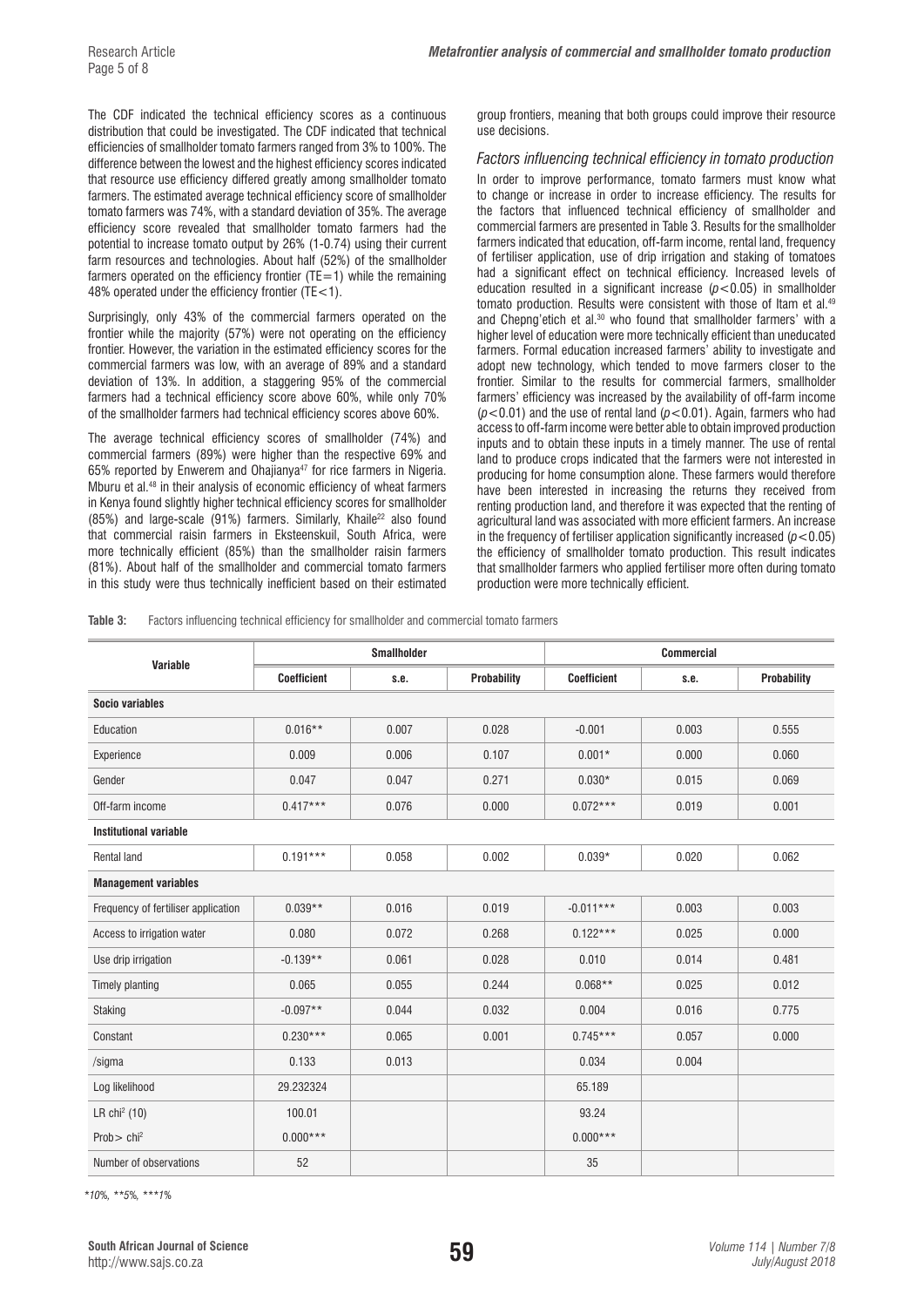The CDF indicated the technical efficiency scores as a continuous distribution that could be investigated. The CDF indicated that technical efficiencies of smallholder tomato farmers ranged from 3% to 100%. The difference between the lowest and the highest efficiency scores indicated that resource use efficiency differed greatly among smallholder tomato farmers. The estimated average technical efficiency score of smallholder tomato farmers was 74%, with a standard deviation of 35%. The average efficiency score revealed that smallholder tomato farmers had the potential to increase tomato output by 26% (1-0.74) using their current farm resources and technologies. About half (52%) of the smallholder farmers operated on the efficiency frontier ( $TE=1$ ) while the remaining 48% operated under the efficiency frontier (TE<1).

Surprisingly, only 43% of the commercial farmers operated on the frontier while the majority (57%) were not operating on the efficiency frontier. However, the variation in the estimated efficiency scores for the commercial farmers was low, with an average of 89% and a standard deviation of 13%. In addition, a staggering 95% of the commercial farmers had a technical efficiency score above 60%, while only 70% of the smallholder farmers had technical efficiency scores above 60%.

The average technical efficiency scores of smallholder (74%) and commercial farmers (89%) were higher than the respective 69% and 65% reported by Enwerem and Ohajianya<sup>47</sup> for rice farmers in Nigeria. Mburu et al.48 in their analysis of economic efficiency of wheat farmers in Kenya found slightly higher technical efficiency scores for smallholder (85%) and large-scale (91%) farmers. Similarly, Khaile<sup>22</sup> also found that commercial raisin farmers in Eksteenskuil, South Africa, were more technically efficient (85%) than the smallholder raisin farmers (81%). About half of the smallholder and commercial tomato farmers in this study were thus technically inefficient based on their estimated

group frontiers, meaning that both groups could improve their resource use decisions.

#### *Factors influencing technical efficiency in tomato production*

In order to improve performance, tomato farmers must know what to change or increase in order to increase efficiency. The results for the factors that influenced technical efficiency of smallholder and commercial farmers are presented in Table 3. Results for the smallholder farmers indicated that education, off-farm income, rental land, frequency of fertiliser application, use of drip irrigation and staking of tomatoes had a significant effect on technical efficiency. Increased levels of education resulted in a significant increase (*p*<0.05) in smallholder tomato production. Results were consistent with those of Itam et al.<sup>49</sup> and Chepng'etich et al.<sup>30</sup> who found that smallholder farmers' with a higher level of education were more technically efficient than uneducated farmers. Formal education increased farmers' ability to investigate and adopt new technology, which tended to move farmers closer to the frontier. Similar to the results for commercial farmers, smallholder farmers' efficiency was increased by the availability of off-farm income (*p*<0.01) and the use of rental land (*p*<0.01). Again, farmers who had access to off-farm income were better able to obtain improved production inputs and to obtain these inputs in a timely manner. The use of rental land to produce crops indicated that the farmers were not interested in producing for home consumption alone. These farmers would therefore have been interested in increasing the returns they received from renting production land, and therefore it was expected that the renting of agricultural land was associated with more efficient farmers. An increase in the frequency of fertiliser application significantly increased  $(p<0.05)$ the efficiency of smallholder tomato production. This result indicates that smallholder farmers who applied fertiliser more often during tomato production were more technically efficient.

**Table 3:** Factors influencing technical efficiency for smallholder and commercial tomato farmers

|                                     |                    | <b>Smallholder</b> |                    | <b>Commercial</b>  |       |                    |  |
|-------------------------------------|--------------------|--------------------|--------------------|--------------------|-------|--------------------|--|
| Variable                            | <b>Coefficient</b> | s.e.               | <b>Probability</b> | <b>Coefficient</b> | s.e.  | <b>Probability</b> |  |
| <b>Socio variables</b>              |                    |                    |                    |                    |       |                    |  |
| Education                           | $0.016**$          | 0.007              | 0.028              | $-0.001$           | 0.003 | 0.555              |  |
| Experience                          | 0.009              | 0.006              | 0.107              | $0.001*$           | 0.000 | 0.060              |  |
| Gender                              | 0.047              | 0.047              | 0.271              | $0.030*$           | 0.015 | 0.069              |  |
| Off-farm income                     | $0.417***$         | 0.076              | 0.000              | $0.072***$         | 0.019 | 0.001              |  |
| <b>Institutional variable</b>       |                    |                    |                    |                    |       |                    |  |
| <b>Rental land</b>                  | $0.191***$         | 0.058              | 0.002              | $0.039*$           | 0.020 | 0.062              |  |
| <b>Management variables</b>         |                    |                    |                    |                    |       |                    |  |
| Frequency of fertiliser application | $0.039**$          | 0.016              | 0.019              | $-0.011***$        | 0.003 | 0.003              |  |
| Access to irrigation water          | 0.080              | 0.072              | 0.268              | $0.122***$         | 0.025 | 0.000              |  |
| Use drip irrigation                 | $-0.139**$         | 0.061              | 0.028              | 0.010              | 0.014 | 0.481              |  |
| <b>Timely planting</b>              | 0.065              | 0.055              | 0.244              | $0.068**$          | 0.025 | 0.012              |  |
| <b>Staking</b>                      | $-0.097**$         | 0.044              | 0.032              | 0.004              | 0.016 | 0.775              |  |
| Constant                            | $0.230***$         | 0.065              | 0.001              | $0.745***$         | 0.057 | 0.000              |  |
| /sigma                              | 0.133              | 0.013              |                    | 0.034              | 0.004 |                    |  |
| Log likelihood                      | 29.232324          |                    |                    | 65.189             |       |                    |  |
| LR chi <sup>2</sup> (10)            | 100.01             |                    |                    | 93.24              |       |                    |  |
| Prob $>$ chi <sup>2</sup>           | $0.000***$         |                    |                    | $0.000***$         |       |                    |  |
| Number of observations              | 52                 |                    |                    | 35                 |       |                    |  |

*\*10%, \*\*5%, \*\*\*1%*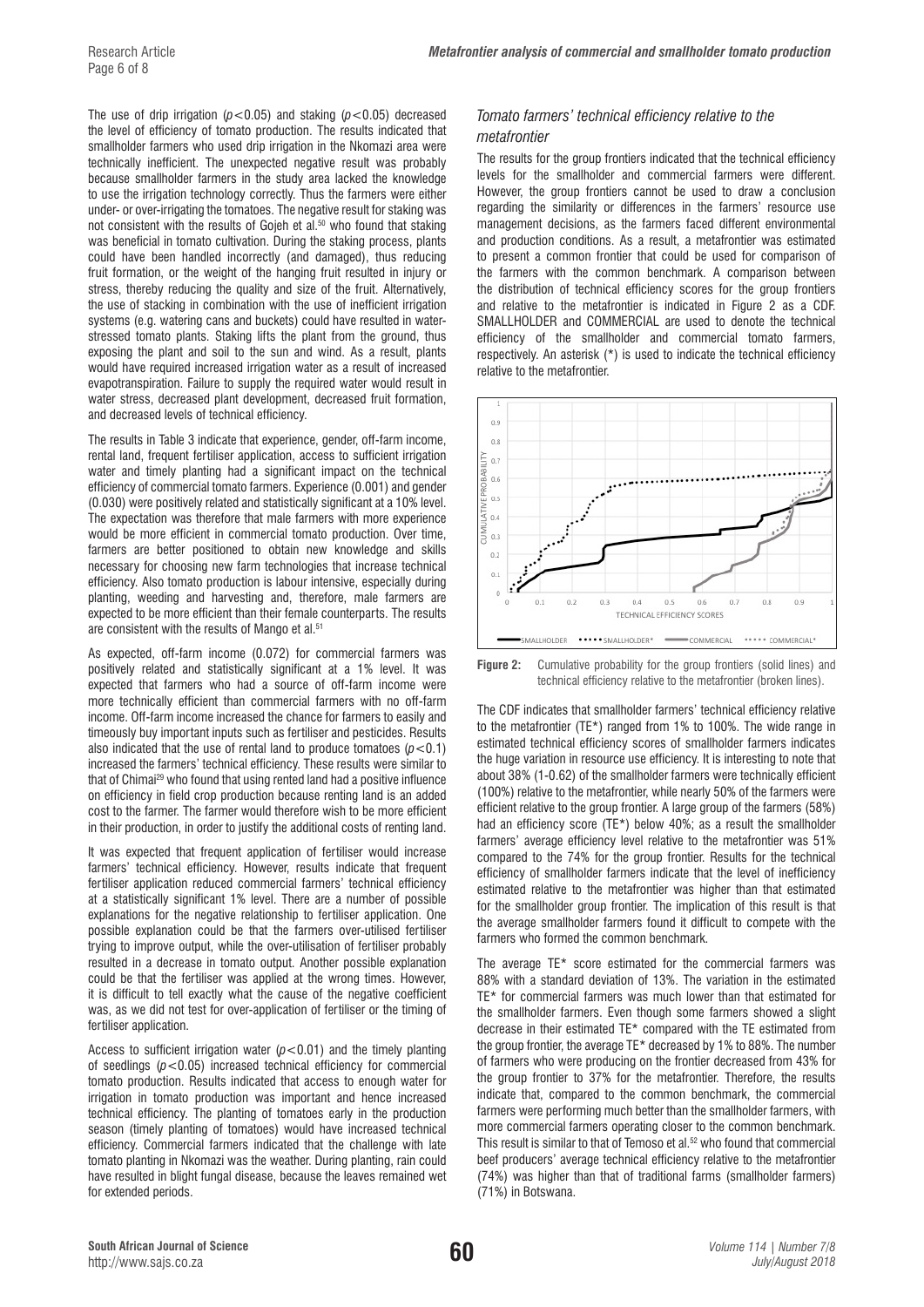The use of drip irrigation ( $p$ <0.05) and staking ( $p$ <0.05) decreased the level of efficiency of tomato production. The results indicated that smallholder farmers who used drip irrigation in the Nkomazi area were technically inefficient. The unexpected negative result was probably because smallholder farmers in the study area lacked the knowledge to use the irrigation technology correctly. Thus the farmers were either under- or over-irrigating the tomatoes. The negative result for staking was not consistent with the results of Gojeh et al.<sup>50</sup> who found that staking was beneficial in tomato cultivation. During the staking process, plants could have been handled incorrectly (and damaged), thus reducing fruit formation, or the weight of the hanging fruit resulted in injury or stress, thereby reducing the quality and size of the fruit. Alternatively, the use of stacking in combination with the use of inefficient irrigation systems (e.g. watering cans and buckets) could have resulted in waterstressed tomato plants. Staking lifts the plant from the ground, thus exposing the plant and soil to the sun and wind. As a result, plants would have required increased irrigation water as a result of increased evapotranspiration. Failure to supply the required water would result in water stress, decreased plant development, decreased fruit formation, and decreased levels of technical efficiency.

The results in Table 3 indicate that experience, gender, off-farm income, rental land, frequent fertiliser application, access to sufficient irrigation water and timely planting had a significant impact on the technical efficiency of commercial tomato farmers. Experience (0.001) and gender (0.030) were positively related and statistically significant at a 10% level. The expectation was therefore that male farmers with more experience would be more efficient in commercial tomato production. Over time, farmers are better positioned to obtain new knowledge and skills necessary for choosing new farm technologies that increase technical efficiency. Also tomato production is labour intensive, especially during planting, weeding and harvesting and, therefore, male farmers are expected to be more efficient than their female counterparts. The results are consistent with the results of Mango et al.<sup>51</sup>

As expected, off-farm income (0.072) for commercial farmers was positively related and statistically significant at a 1% level. It was expected that farmers who had a source of off-farm income were more technically efficient than commercial farmers with no off-farm income. Off-farm income increased the chance for farmers to easily and timeously buy important inputs such as fertiliser and pesticides. Results also indicated that the use of rental land to produce tomatoes  $(p<0.1)$ increased the farmers' technical efficiency. These results were similar to that of Chimai<sup>29</sup> who found that using rented land had a positive influence on efficiency in field crop production because renting land is an added cost to the farmer. The farmer would therefore wish to be more efficient in their production, in order to justify the additional costs of renting land.

It was expected that frequent application of fertiliser would increase farmers' technical efficiency. However, results indicate that frequent fertiliser application reduced commercial farmers' technical efficiency at a statistically significant 1% level. There are a number of possible explanations for the negative relationship to fertiliser application. One possible explanation could be that the farmers over-utilised fertiliser trying to improve output, while the over-utilisation of fertiliser probably resulted in a decrease in tomato output. Another possible explanation could be that the fertiliser was applied at the wrong times. However, it is difficult to tell exactly what the cause of the negative coefficient was, as we did not test for over-application of fertiliser or the timing of fertiliser application.

Access to sufficient irrigation water  $(p<0.01)$  and the timely planting of seedlings (*p*<0.05) increased technical efficiency for commercial tomato production. Results indicated that access to enough water for irrigation in tomato production was important and hence increased technical efficiency. The planting of tomatoes early in the production season (timely planting of tomatoes) would have increased technical efficiency. Commercial farmers indicated that the challenge with late tomato planting in Nkomazi was the weather. During planting, rain could have resulted in blight fungal disease, because the leaves remained wet for extended periods.

## *Tomato farmers' technical efficiency relative to the metafrontier*

The results for the group frontiers indicated that the technical efficiency levels for the smallholder and commercial farmers were different. However, the group frontiers cannot be used to draw a conclusion regarding the similarity or differences in the farmers' resource use management decisions, as the farmers faced different environmental and production conditions. As a result, a metafrontier was estimated to present a common frontier that could be used for comparison of the farmers with the common benchmark. A comparison between the distribution of technical efficiency scores for the group frontiers and relative to the metafrontier is indicated in Figure 2 as a CDF. SMALLHOLDER and COMMERCIAL are used to denote the technical efficiency of the smallholder and commercial tomato farmers, respectively. An asterisk (\*) is used to indicate the technical efficiency relative to the metafrontier.



**Figure 2:** Cumulative probability for the group frontiers (solid lines) and technical efficiency relative to the metafrontier (broken lines).

The CDF indicates that smallholder farmers' technical efficiency relative to the metafrontier (TE\*) ranged from 1% to 100%. The wide range in estimated technical efficiency scores of smallholder farmers indicates the huge variation in resource use efficiency. It is interesting to note that about 38% (1-0.62) of the smallholder farmers were technically efficient (100%) relative to the metafrontier, while nearly 50% of the farmers were efficient relative to the group frontier. A large group of the farmers (58%) had an efficiency score (TE\*) below 40%; as a result the smallholder farmers' average efficiency level relative to the metafrontier was 51% compared to the 74% for the group frontier. Results for the technical efficiency of smallholder farmers indicate that the level of inefficiency estimated relative to the metafrontier was higher than that estimated for the smallholder group frontier. The implication of this result is that the average smallholder farmers found it difficult to compete with the farmers who formed the common benchmark.

The average TE\* score estimated for the commercial farmers was 88% with a standard deviation of 13%. The variation in the estimated TE\* for commercial farmers was much lower than that estimated for the smallholder farmers. Even though some farmers showed a slight decrease in their estimated TE\* compared with the TE estimated from the group frontier, the average TE\* decreased by 1% to 88%. The number of farmers who were producing on the frontier decreased from 43% for the group frontier to 37% for the metafrontier. Therefore, the results indicate that, compared to the common benchmark, the commercial farmers were performing much better than the smallholder farmers, with more commercial farmers operating closer to the common benchmark. This result is similar to that of Temoso et al.<sup>52</sup> who found that commercial beef producers' average technical efficiency relative to the metafrontier (74%) was higher than that of traditional farms (smallholder farmers) (71%) in Botswana.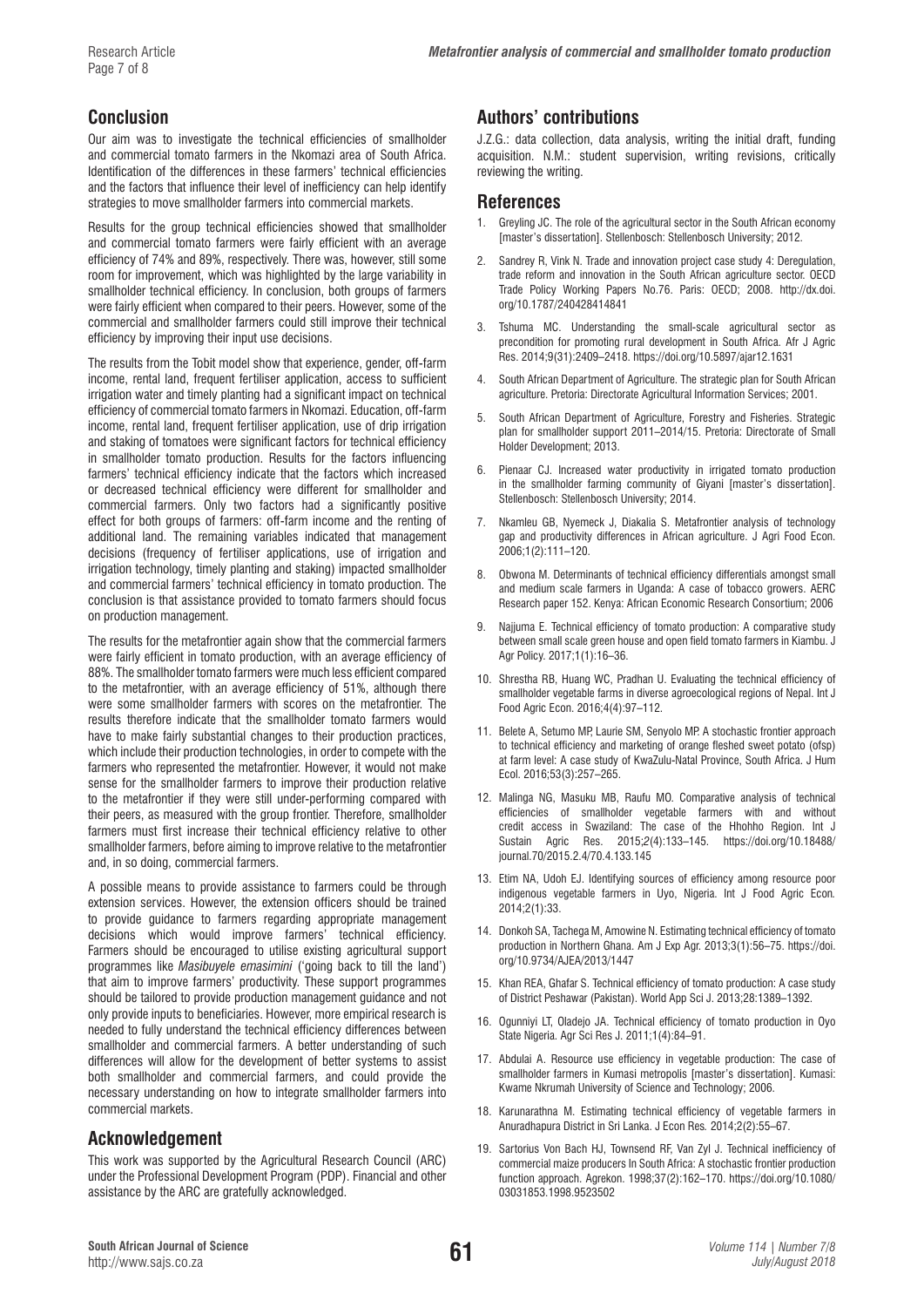# **Conclusion**

Our aim was to investigate the technical efficiencies of smallholder and commercial tomato farmers in the Nkomazi area of South Africa. Identification of the differences in these farmers' technical efficiencies and the factors that influence their level of inefficiency can help identify strategies to move smallholder farmers into commercial markets.

Results for the group technical efficiencies showed that smallholder and commercial tomato farmers were fairly efficient with an average efficiency of 74% and 89%, respectively. There was, however, still some room for improvement, which was highlighted by the large variability in smallholder technical efficiency. In conclusion, both groups of farmers were fairly efficient when compared to their peers. However, some of the commercial and smallholder farmers could still improve their technical efficiency by improving their input use decisions.

The results from the Tobit model show that experience, gender, off-farm income, rental land, frequent fertiliser application, access to sufficient irrigation water and timely planting had a significant impact on technical efficiency of commercial tomato farmers in Nkomazi. Education, off-farm income, rental land, frequent fertiliser application, use of drip irrigation and staking of tomatoes were significant factors for technical efficiency in smallholder tomato production. Results for the factors influencing farmers' technical efficiency indicate that the factors which increased or decreased technical efficiency were different for smallholder and commercial farmers. Only two factors had a significantly positive effect for both groups of farmers: off-farm income and the renting of additional land. The remaining variables indicated that management decisions (frequency of fertiliser applications, use of irrigation and irrigation technology, timely planting and staking) impacted smallholder and commercial farmers' technical efficiency in tomato production. The conclusion is that assistance provided to tomato farmers should focus on production management.

The results for the metafrontier again show that the commercial farmers were fairly efficient in tomato production, with an average efficiency of 88%. The smallholder tomato farmers were much less efficient compared to the metafrontier, with an average efficiency of 51%, although there were some smallholder farmers with scores on the metafrontier. The results therefore indicate that the smallholder tomato farmers would have to make fairly substantial changes to their production practices, which include their production technologies, in order to compete with the farmers who represented the metafrontier. However, it would not make sense for the smallholder farmers to improve their production relative to the metafrontier if they were still under-performing compared with their peers, as measured with the group frontier. Therefore, smallholder farmers must first increase their technical efficiency relative to other smallholder farmers, before aiming to improve relative to the metafrontier and, in so doing, commercial farmers.

A possible means to provide assistance to farmers could be through extension services. However, the extension officers should be trained to provide guidance to farmers regarding appropriate management decisions which would improve farmers' technical efficiency. Farmers should be encouraged to utilise existing agricultural support programmes like *Masibuyele emasimini* ('going back to till the land') that aim to improve farmers' productivity. These support programmes should be tailored to provide production management guidance and not only provide inputs to beneficiaries. However, more empirical research is needed to fully understand the technical efficiency differences between smallholder and commercial farmers. A better understanding of such differences will allow for the development of better systems to assist both smallholder and commercial farmers, and could provide the necessary understanding on how to integrate smallholder farmers into commercial markets.

# **Acknowledgement**

This work was supported by the Agricultural Research Council (ARC) under the Professional Development Program (PDP). Financial and other assistance by the ARC are gratefully acknowledged.

# **Authors' contributions**

J.Z.G.: data collection, data analysis, writing the initial draft, funding acquisition. N.M.: student supervision, writing revisions, critically reviewing the writing.

# **References**

- 1. Greyling JC. The role of the agricultural sector in the South African economy [master's dissertation]. Stellenbosch: Stellenbosch University; 2012.
- 2. Sandrey R, Vink N. Trade and innovation project case study 4: Deregulation, trade reform and innovation in the South African agriculture sector. OECD Trade Policy Working Papers No.76. Paris: OECD; 2008. [http://dx.doi.](http://dx.doi.org/10.1787/240428414841) [org/10.1787/240428414841](http://dx.doi.org/10.1787/240428414841)
- 3. Tshuma MC. Understanding the small-scale agricultural sector as precondition for promoting rural development in South Africa. Afr J Agric Res. 2014;9(31):2409–2418.<https://doi.org/10.5897/ajar12.1631>
- 4. South African Department of Agriculture. The strategic plan for South African agriculture. Pretoria: Directorate Agricultural Information Services; 2001.
- 5. South African Department of Agriculture, Forestry and Fisheries. Strategic plan for smallholder support 2011–2014/15. Pretoria: Directorate of Small Holder Development; 2013.
- 6. Pienaar CJ. Increased water productivity in irrigated tomato production in the smallholder farming community of Giyani [master's dissertation]. Stellenbosch: Stellenbosch University; 2014.
- 7. Nkamleu GB, Nyemeck J, Diakalia S. Metafrontier analysis of technology gap and productivity differences in African agriculture. J Agri Food Econ. 2006;1(2):111–120.
- 8. Obwona M. Determinants of technical efficiency differentials amongst small and medium scale farmers in Uganda: A case of tobacco growers. AERC Research paper 152. Kenya: African Economic Research Consortium; 2006
- Najjuma E. Technical efficiency of tomato production: A comparative study between small scale green house and open field tomato farmers in Kiambu. J Agr Policy. 2017;1(1):16–36.
- 10. Shrestha RB, Huang WC, Pradhan U. Evaluating the technical efficiency of smallholder vegetable farms in diverse agroecological regions of Nepal. Int J Food Agric Econ. 2016;4(4):97–112.
- 11. Belete A, Setumo MP, Laurie SM, Senyolo MP. A stochastic frontier approach to technical efficiency and marketing of orange fleshed sweet potato (ofsp) at farm level: A case study of KwaZulu-Natal Province, South Africa. J Hum Ecol. 2016;53(3):257–265.
- 12. Malinga NG, Masuku MB, Raufu MO. Comparative analysis of technical efficiencies of smallholder vegetable farmers with and without credit access in Swaziland: The case of the Hhohho Region. Int J Sustain Agric Res. 2015;*2*(4):133–145. [https://doi.org/10.18488/](https://doi.org/10.18488/journal.70/2015.2.4/70.4.133.145) [journal.70/2015.2.4/70.4.133.145](https://doi.org/10.18488/journal.70/2015.2.4/70.4.133.145)
- 13. Etim NA, Udoh EJ. Identifying sources of efficiency among resource poor indigenous vegetable farmers in Uyo, Nigeria. Int J Food Agric Econ*.*  2014;2(1):33.
- 14. Donkoh SA, Tachega M, Amowine N. Estimating technical efficiency of tomato production in Northern Ghana. Am J Exp Agr. 2013;3(1):56–75. [https://doi.](https://doi.org/10.9734/AJEA/2013/1447) [org/10.9734/AJEA/2013/1447](https://doi.org/10.9734/AJEA/2013/1447)
- 15. Khan REA, Ghafar S. Technical efficiency of tomato production: A case study of District Peshawar (Pakistan). World App Sci J. 2013;28:1389–1392.
- 16. Ogunniyi LT, Oladejo JA. Technical efficiency of tomato production in Oyo State Nigeria. Agr Sci Res J. 2011;1(4):84–91.
- 17. Abdulai A. Resource use efficiency in vegetable production: The case of smallholder farmers in Kumasi metropolis [master's dissertation]. Kumasi: Kwame Nkrumah University of Science and Technology; 2006.
- 18. Karunarathna M. Estimating technical efficiency of vegetable farmers in Anuradhapura District in Sri Lanka. J Econ Res*.* 2014;2(2):55–67.
- 19. Sartorius Von Bach HJ, Townsend RF, Van Zyl J. Technical inefficiency of commercial maize producers In South Africa: A stochastic frontier production function approach. Agrekon. 1998;37(2):162–170. [https://doi.org/10.1080/](https://doi.org/10.1080/03031853.1998.9523502) [03031853.1998.9523502](https://doi.org/10.1080/03031853.1998.9523502)